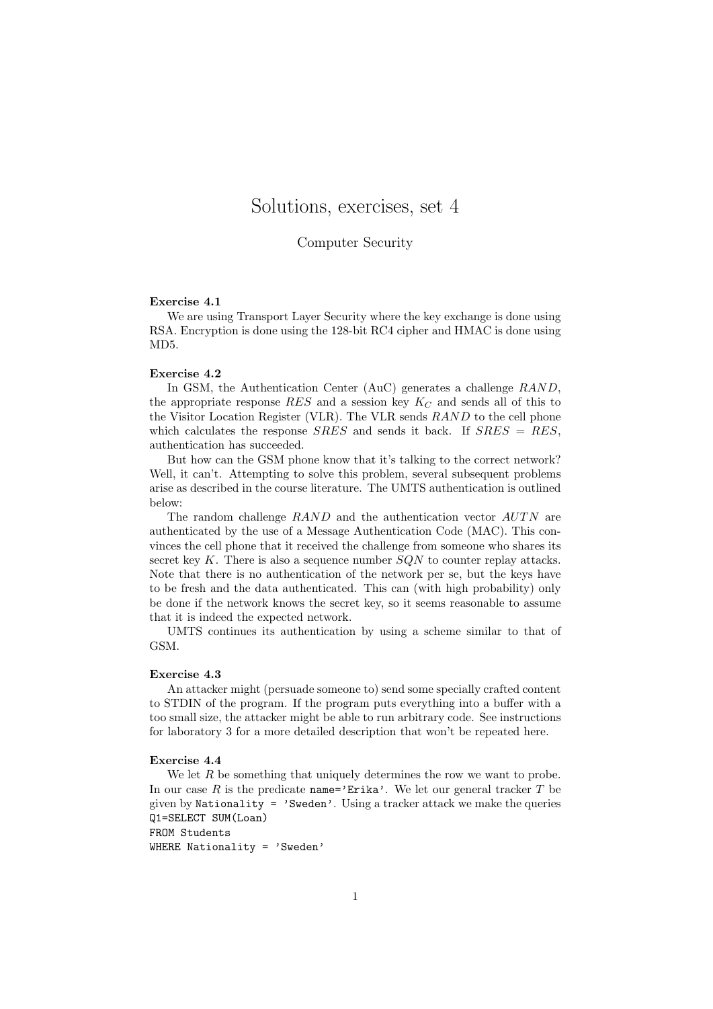# Solutions, exercises, set 4

## Computer Security

#### Exercise 4.1

We are using Transport Layer Security where the key exchange is done using RSA. Encryption is done using the 128-bit RC4 cipher and HMAC is done using MD5.

#### Exercise 4.2

In GSM, the Authentication Center (AuC) generates a challenge RAND, the appropriate response RES and a session key  $K_C$  and sends all of this to the Visitor Location Register (VLR). The VLR sends RAND to the cell phone which calculates the response  $SRES$  and sends it back. If  $SRES = RES$ , authentication has succeeded.

But how can the GSM phone know that it's talking to the correct network? Well, it can't. Attempting to solve this problem, several subsequent problems arise as described in the course literature. The UMTS authentication is outlined below:

The random challenge  $RAND$  and the authentication vector  $AUTN$  are authenticated by the use of a Message Authentication Code (MAC). This convinces the cell phone that it received the challenge from someone who shares its secret key K. There is also a sequence number  $SQN$  to counter replay attacks. Note that there is no authentication of the network per se, but the keys have to be fresh and the data authenticated. This can (with high probability) only be done if the network knows the secret key, so it seems reasonable to assume that it is indeed the expected network.

UMTS continues its authentication by using a scheme similar to that of GSM.

#### Exercise 4.3

An attacker might (persuade someone to) send some specially crafted content to STDIN of the program. If the program puts everything into a buffer with a too small size, the attacker might be able to run arbitrary code. See instructions for laboratory 3 for a more detailed description that won't be repeated here.

#### Exercise 4.4

We let R be something that uniquely determines the row we want to probe. In our case R is the predicate name='Erika'. We let our general tracker T be given by Nationality =  $'$ Sweden'. Using a tracker attack we make the queries Q1=SELECT SUM(Loan) FROM Students

WHERE Nationality = 'Sweden'